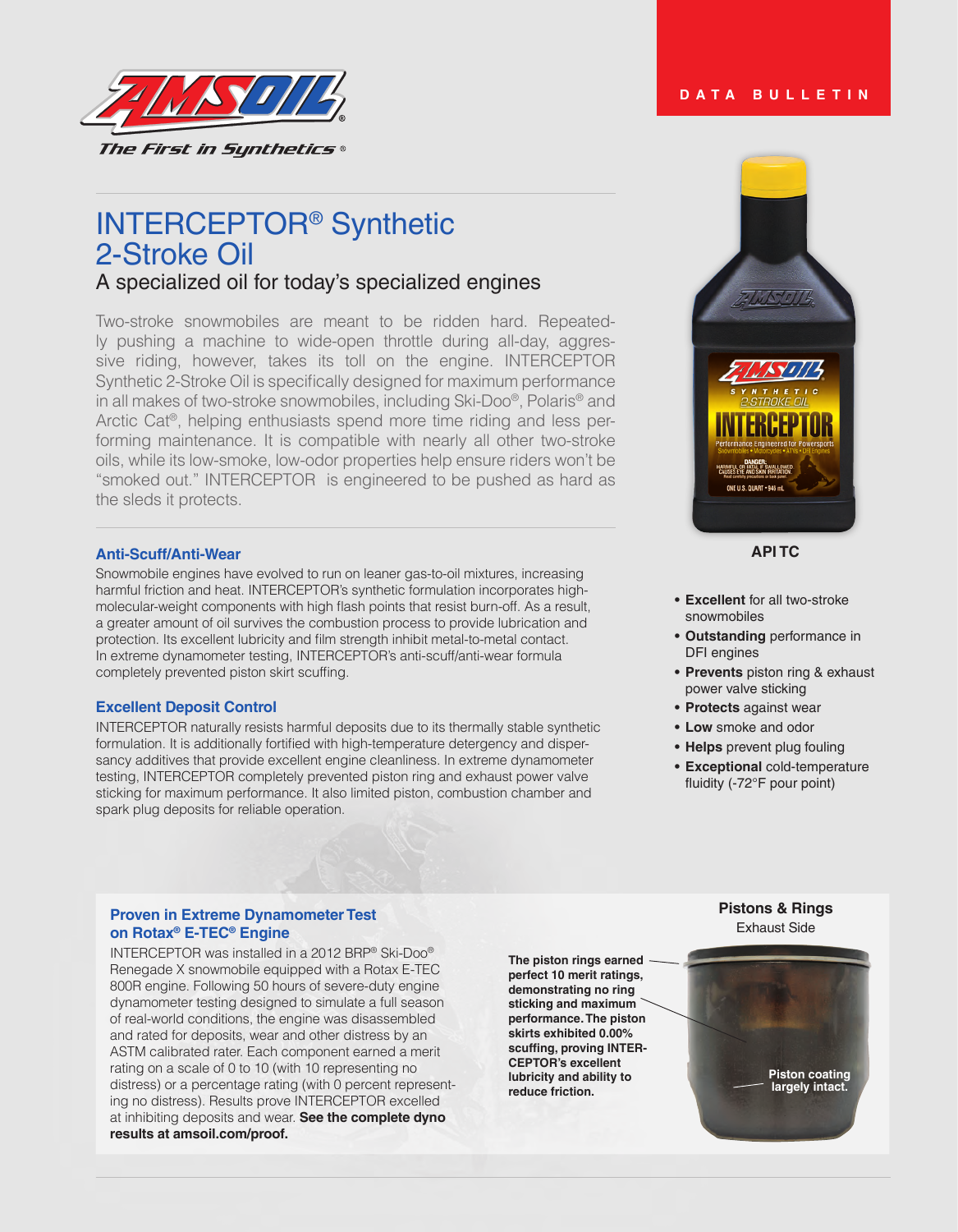

# INTERCEPTOR® Synthetic 2-Stroke Oil

# A specialized oil for today's specialized engines

Two-stroke snowmobiles are meant to be ridden hard. Repeatedly pushing a machine to wide-open throttle during all-day, aggressive riding, however, takes its toll on the engine. INTERCEPTOR Synthetic 2-Stroke Oil is specifically designed for maximum performance in all makes of two-stroke snowmobiles, including Ski-Doo®, Polaris® and Arctic Cat®, helping enthusiasts spend more time riding and less performing maintenance. It is compatible with nearly all other two-stroke oils, while its low-smoke, low-odor properties help ensure riders won't be "smoked out." INTERCEPTOR is engineered to be pushed as hard as the sleds it protects.

## **Anti-Scuff/Anti-Wear**

Snowmobile engines have evolved to run on leaner gas-to-oil mixtures, increasing harmful friction and heat. INTERCEPTOR's synthetic formulation incorporates highmolecular-weight components with high flash points that resist burn-off. As a result, a greater amount of oil survives the combustion process to provide lubrication and protection. Its excellent lubricity and film strength inhibit metal-to-metal contact. In extreme dynamometer testing, INTERCEPTOR's anti-scuff/anti-wear formula completely prevented piston skirt scuffing.

#### **Excellent Deposit Control**

INTERCEPTOR naturally resists harmful deposits due to its thermally stable synthetic formulation. It is additionally fortified with high-temperature detergency and dispersancy additives that provide excellent engine cleanliness. In extreme dynamometer testing, INTERCEPTOR completely prevented piston ring and exhaust power valve sticking for maximum performance. It also limited piston, combustion chamber and spark plug deposits for reliable operation.

#### Exhaust Side **Proven in Extreme Dynamometer Test on Rotax® E-TEC® Engine**

INTERCEPTOR was installed in a 2012 BRP® Ski-Doo® Renegade X snowmobile equipped with a Rotax E-TEC 800R engine. Following 50 hours of severe-duty engine dynamometer testing designed to simulate a full season of real-world conditions, the engine was disassembled and rated for deposits, wear and other distress by an ASTM calibrated rater. Each component earned a merit rating on a scale of 0 to 10 (with 10 representing no distress) or a percentage rating (with 0 percent representing no distress). Results prove INTERCEPTOR excelled at inhibiting deposits and wear. **See the complete dyno results at amsoil.com/proof.**

**The piston rings earned perfect 10 merit ratings, demonstrating no ring sticking and maximum performance. The piston skirts exhibited 0.00% scuffing, proving INTER-CEPTOR's excellent lubricity and ability to reduce friction.**



## **API TC**

- **• Excellent** for all two-stroke snowmobiles
- **• Outstanding** performance in DFI engines
- **• Prevents** piston ring & exhaust power valve sticking
- **• Protects** against wear
- **• Low** smoke and odor
- **• Helps** prevent plug fouling
- **• Exceptional** cold-temperature fluidity (-72°F pour point)

**Pistons & Rings**

## **DATA BULLETIN**